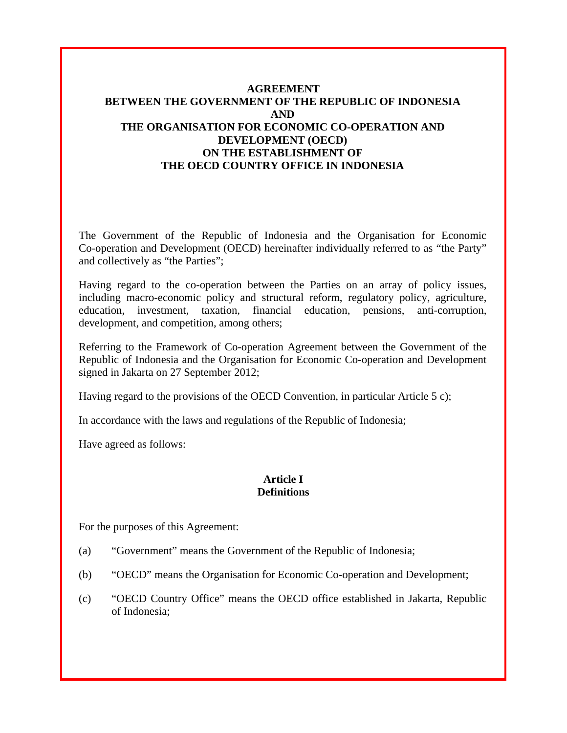# **AGREEMENT BETWEEN THE GOVERNMENT OF THE REPUBLIC OF INDONESIA AND THE ORGANISATION FOR ECONOMIC CO-OPERATION AND DEVELOPMENT (OECD) ON THE ESTABLISHMENT OF THE OECD COUNTRY OFFICE IN INDONESIA**

The Government of the Republic of Indonesia and the Organisation for Economic Co-operation and Development (OECD) hereinafter individually referred to as "the Party" and collectively as "the Parties";

Having regard to the co-operation between the Parties on an array of policy issues, including macro-economic policy and structural reform, regulatory policy, agriculture, education, investment, taxation, financial education, pensions, anti-corruption, development, and competition, among others;

Referring to the Framework of Co-operation Agreement between the Government of the Republic of Indonesia and the Organisation for Economic Co-operation and Development signed in Jakarta on 27 September 2012;

Having regard to the provisions of the OECD Convention, in particular Article 5 c);

In accordance with the laws and regulations of the Republic of Indonesia;

Have agreed as follows:

#### **Article I Definitions**

For the purposes of this Agreement:

- (a) "Government" means the Government of the Republic of Indonesia;
- (b) "OECD" means the Organisation for Economic Co-operation and Development;
- (c) "OECD Country Office" means the OECD office established in Jakarta, Republic of Indonesia;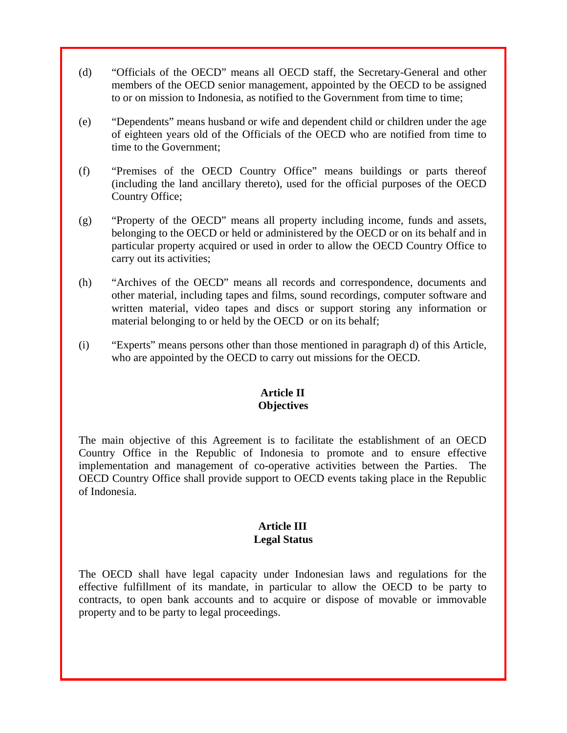- (d) "Officials of the OECD" means all OECD staff, the Secretary-General and other members of the OECD senior management, appointed by the OECD to be assigned to or on mission to Indonesia, as notified to the Government from time to time;
- (e) "Dependents" means husband or wife and dependent child or children under the age of eighteen years old of the Officials of the OECD who are notified from time to time to the Government;
- (f) "Premises of the OECD Country Office" means buildings or parts thereof (including the land ancillary thereto), used for the official purposes of the OECD Country Office;
- (g) "Property of the OECD" means all property including income, funds and assets, belonging to the OECD or held or administered by the OECD or on its behalf and in particular property acquired or used in order to allow the OECD Country Office to carry out its activities;
- (h) "Archives of the OECD" means all records and correspondence, documents and other material, including tapes and films, sound recordings, computer software and written material, video tapes and discs or support storing any information or material belonging to or held by the OECD or on its behalf;
- (i) "Experts" means persons other than those mentioned in paragraph d) of this Article, who are appointed by the OECD to carry out missions for the OECD.

## **Article II Objectives**

The main objective of this Agreement is to facilitate the establishment of an OECD Country Office in the Republic of Indonesia to promote and to ensure effective implementation and management of co-operative activities between the Parties. The OECD Country Office shall provide support to OECD events taking place in the Republic of Indonesia.

## **Article III Legal Status**

The OECD shall have legal capacity under Indonesian laws and regulations for the effective fulfillment of its mandate, in particular to allow the OECD to be party to contracts, to open bank accounts and to acquire or dispose of movable or immovable property and to be party to legal proceedings.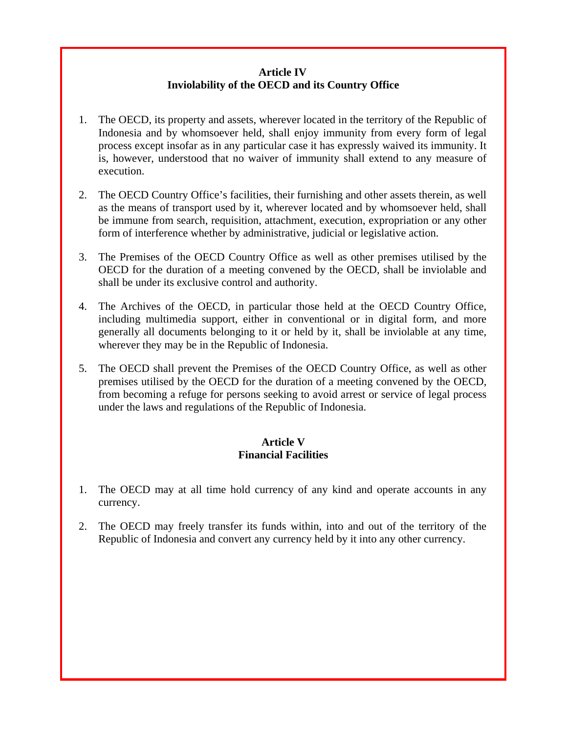## **Article IV Inviolability of the OECD and its Country Office**

- 1. The OECD, its property and assets, wherever located in the territory of the Republic of Indonesia and by whomsoever held, shall enjoy immunity from every form of legal process except insofar as in any particular case it has expressly waived its immunity. It is, however, understood that no waiver of immunity shall extend to any measure of execution.
- 2. The OECD Country Office's facilities, their furnishing and other assets therein, as well as the means of transport used by it, wherever located and by whomsoever held, shall be immune from search, requisition, attachment, execution, expropriation or any other form of interference whether by administrative, judicial or legislative action.
- 3. The Premises of the OECD Country Office as well as other premises utilised by the OECD for the duration of a meeting convened by the OECD, shall be inviolable and shall be under its exclusive control and authority.
- 4. The Archives of the OECD, in particular those held at the OECD Country Office, including multimedia support, either in conventional or in digital form, and more generally all documents belonging to it or held by it, shall be inviolable at any time, wherever they may be in the Republic of Indonesia.
- 5. The OECD shall prevent the Premises of the OECD Country Office, as well as other premises utilised by the OECD for the duration of a meeting convened by the OECD, from becoming a refuge for persons seeking to avoid arrest or service of legal process under the laws and regulations of the Republic of Indonesia.

# **Article V Financial Facilities**

- 1. The OECD may at all time hold currency of any kind and operate accounts in any currency.
- 2. The OECD may freely transfer its funds within, into and out of the territory of the Republic of Indonesia and convert any currency held by it into any other currency.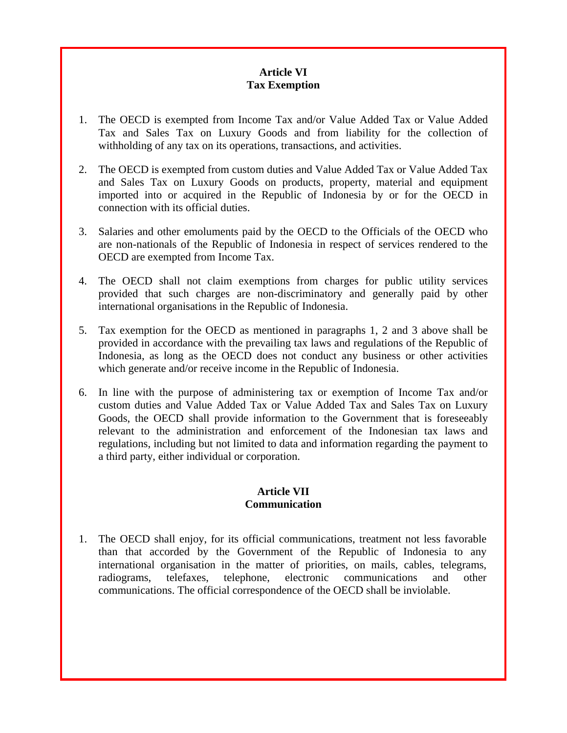# **Article VI Tax Exemption**

- 1. The OECD is exempted from Income Tax and/or Value Added Tax or Value Added Tax and Sales Tax on Luxury Goods and from liability for the collection of withholding of any tax on its operations, transactions, and activities.
- 2. The OECD is exempted from custom duties and Value Added Tax or Value Added Tax and Sales Tax on Luxury Goods on products, property, material and equipment imported into or acquired in the Republic of Indonesia by or for the OECD in connection with its official duties.
- 3. Salaries and other emoluments paid by the OECD to the Officials of the OECD who are non-nationals of the Republic of Indonesia in respect of services rendered to the OECD are exempted from Income Tax.
- 4. The OECD shall not claim exemptions from charges for public utility services provided that such charges are non-discriminatory and generally paid by other international organisations in the Republic of Indonesia.
- 5. Tax exemption for the OECD as mentioned in paragraphs 1, 2 and 3 above shall be provided in accordance with the prevailing tax laws and regulations of the Republic of Indonesia, as long as the OECD does not conduct any business or other activities which generate and/or receive income in the Republic of Indonesia.
- 6. In line with the purpose of administering tax or exemption of Income Tax and/or custom duties and Value Added Tax or Value Added Tax and Sales Tax on Luxury Goods, the OECD shall provide information to the Government that is foreseeably relevant to the administration and enforcement of the Indonesian tax laws and regulations, including but not limited to data and information regarding the payment to a third party, either individual or corporation.

## **Article VII Communication**

1. The OECD shall enjoy, for its official communications, treatment not less favorable than that accorded by the Government of the Republic of Indonesia to any international organisation in the matter of priorities, on mails, cables, telegrams, radiograms, telefaxes, telephone, electronic communications and other communications. The official correspondence of the OECD shall be inviolable.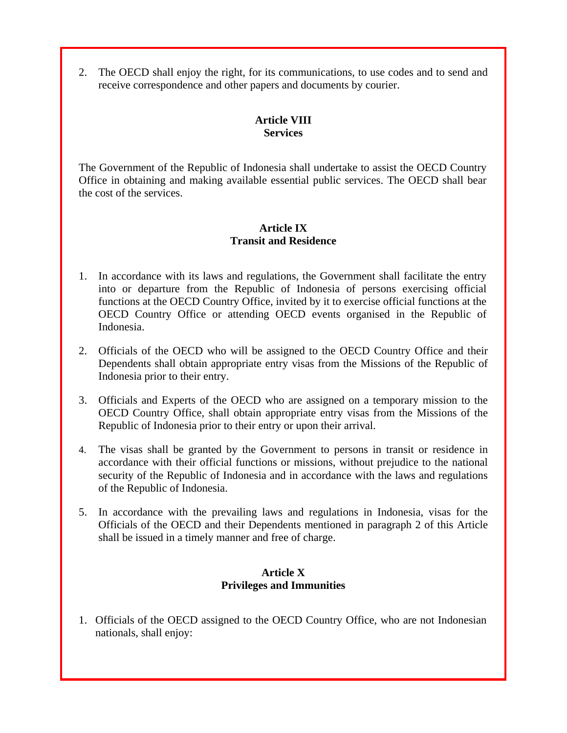2. The OECD shall enjoy the right, for its communications, to use codes and to send and receive correspondence and other papers and documents by courier.

## **Article VIII Services**

The Government of the Republic of Indonesia shall undertake to assist the OECD Country Office in obtaining and making available essential public services. The OECD shall bear the cost of the services.

## **Article IX Transit and Residence**

- 1. In accordance with its laws and regulations, the Government shall facilitate the entry into or departure from the Republic of Indonesia of persons exercising official functions at the OECD Country Office, invited by it to exercise official functions at the OECD Country Office or attending OECD events organised in the Republic of Indonesia.
- 2. Officials of the OECD who will be assigned to the OECD Country Office and their Dependents shall obtain appropriate entry visas from the Missions of the Republic of Indonesia prior to their entry.
- 3. Officials and Experts of the OECD who are assigned on a temporary mission to the OECD Country Office, shall obtain appropriate entry visas from the Missions of the Republic of Indonesia prior to their entry or upon their arrival.
- 4. The visas shall be granted by the Government to persons in transit or residence in accordance with their official functions or missions, without prejudice to the national security of the Republic of Indonesia and in accordance with the laws and regulations of the Republic of Indonesia.
- 5. In accordance with the prevailing laws and regulations in Indonesia, visas for the Officials of the OECD and their Dependents mentioned in paragraph 2 of this Article shall be issued in a timely manner and free of charge.

## **Article X Privileges and Immunities**

1. Officials of the OECD assigned to the OECD Country Office, who are not Indonesian nationals, shall enjoy: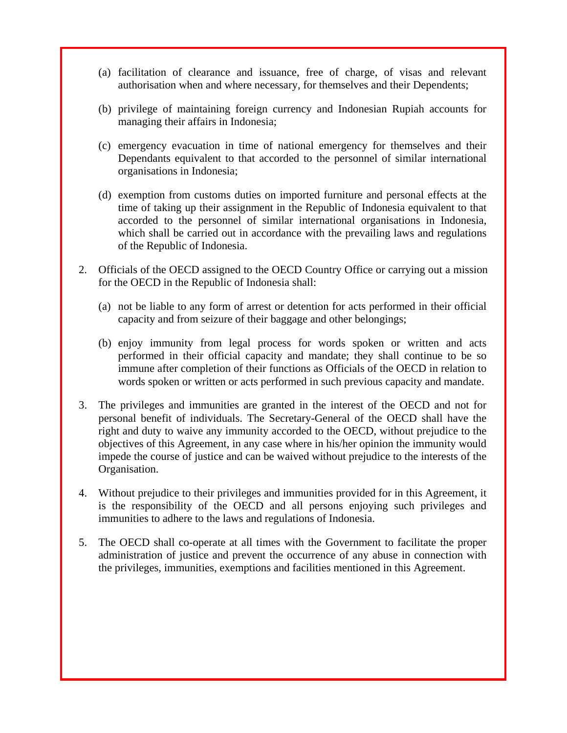- (a) facilitation of clearance and issuance, free of charge, of visas and relevant authorisation when and where necessary, for themselves and their Dependents;
- (b) privilege of maintaining foreign currency and Indonesian Rupiah accounts for managing their affairs in Indonesia;
- (c) emergency evacuation in time of national emergency for themselves and their Dependants equivalent to that accorded to the personnel of similar international organisations in Indonesia;
- (d) exemption from customs duties on imported furniture and personal effects at the time of taking up their assignment in the Republic of Indonesia equivalent to that accorded to the personnel of similar international organisations in Indonesia, which shall be carried out in accordance with the prevailing laws and regulations of the Republic of Indonesia.
- 2. Officials of the OECD assigned to the OECD Country Office or carrying out a mission for the OECD in the Republic of Indonesia shall:
	- (a) not be liable to any form of arrest or detention for acts performed in their official capacity and from seizure of their baggage and other belongings;
	- (b) enjoy immunity from legal process for words spoken or written and acts performed in their official capacity and mandate; they shall continue to be so immune after completion of their functions as Officials of the OECD in relation to words spoken or written or acts performed in such previous capacity and mandate.
- 3. The privileges and immunities are granted in the interest of the OECD and not for personal benefit of individuals. The Secretary-General of the OECD shall have the right and duty to waive any immunity accorded to the OECD, without prejudice to the objectives of this Agreement, in any case where in his/her opinion the immunity would impede the course of justice and can be waived without prejudice to the interests of the Organisation.
- 4. Without prejudice to their privileges and immunities provided for in this Agreement, it is the responsibility of the OECD and all persons enjoying such privileges and immunities to adhere to the laws and regulations of Indonesia.
- 5. The OECD shall co-operate at all times with the Government to facilitate the proper administration of justice and prevent the occurrence of any abuse in connection with the privileges, immunities, exemptions and facilities mentioned in this Agreement.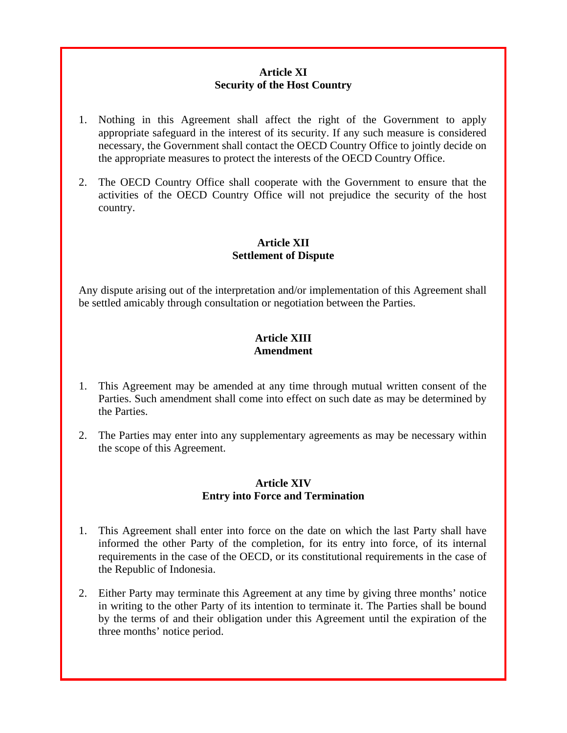## **Article XI Security of the Host Country**

- 1. Nothing in this Agreement shall affect the right of the Government to apply appropriate safeguard in the interest of its security. If any such measure is considered necessary, the Government shall contact the OECD Country Office to jointly decide on the appropriate measures to protect the interests of the OECD Country Office.
- 2. The OECD Country Office shall cooperate with the Government to ensure that the activities of the OECD Country Office will not prejudice the security of the host country.

## **Article XII Settlement of Dispute**

Any dispute arising out of the interpretation and/or implementation of this Agreement shall be settled amicably through consultation or negotiation between the Parties.

## **Article XIII Amendment**

- 1. This Agreement may be amended at any time through mutual written consent of the Parties. Such amendment shall come into effect on such date as may be determined by the Parties.
- 2. The Parties may enter into any supplementary agreements as may be necessary within the scope of this Agreement.

## **Article XIV Entry into Force and Termination**

- 1. This Agreement shall enter into force on the date on which the last Party shall have informed the other Party of the completion, for its entry into force, of its internal requirements in the case of the OECD, or its constitutional requirements in the case of the Republic of Indonesia.
- 2. Either Party may terminate this Agreement at any time by giving three months' notice in writing to the other Party of its intention to terminate it. The Parties shall be bound by the terms of and their obligation under this Agreement until the expiration of the three months' notice period.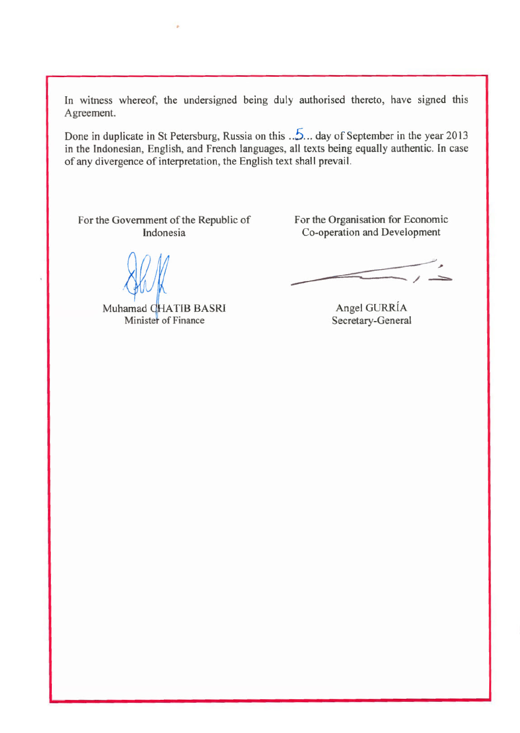In witness whereof, the undersigned being duly authorised thereto, have signed this Agreement.

Done in duplicate in St Petersburg, Russia on this  $\sqrt{2}$ ... day of September in the year 2013 in the Indonesian, English, and French languages, all texts being equally authentic. In case of any divergence of interpretation, the English text shall prevail.

For the Government of the Republic of Indonesia

Muhamad CHATIB BASRI Minister of Finance

For the Organisation for Economic Co-operation and Development

Angel GURRÍA Secretary-General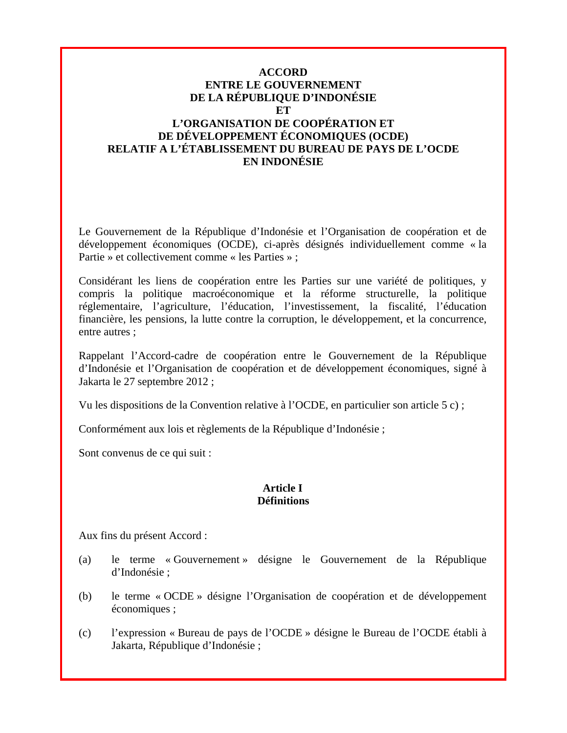## **ACCORD ENTRE LE GOUVERNEMENT DE LA RÉPUBLIQUE D'INDONÉSIE ET L'ORGANISATION DE COOPÉRATION ET DE DÉVELOPPEMENT ÉCONOMIQUES (OCDE) RELATIF A L'ÉTABLISSEMENT DU BUREAU DE PAYS DE L'OCDE EN INDONÉSIE**

Le Gouvernement de la République d'Indonésie et l'Organisation de coopération et de développement économiques (OCDE), ci-après désignés individuellement comme « la Partie » et collectivement comme « les Parties » ;

Considérant les liens de coopération entre les Parties sur une variété de politiques, y compris la politique macroéconomique et la réforme structurelle, la politique réglementaire, l'agriculture, l'éducation, l'investissement, la fiscalité, l'éducation financière, les pensions, la lutte contre la corruption, le développement, et la concurrence, entre autres ;

Rappelant l'Accord-cadre de coopération entre le Gouvernement de la République d'Indonésie et l'Organisation de coopération et de développement économiques, signé à Jakarta le 27 septembre 2012 ;

Vu les dispositions de la Convention relative à l'OCDE, en particulier son article 5 c) ;

Conformément aux lois et règlements de la République d'Indonésie ;

Sont convenus de ce qui suit :

#### **Article I Définitions**

Aux fins du présent Accord :

- (a) le terme « Gouvernement » désigne le Gouvernement de la République d'Indonésie ;
- (b) le terme « OCDE » désigne l'Organisation de coopération et de développement économiques ;
- (c) l'expression « Bureau de pays de l'OCDE » désigne le Bureau de l'OCDE établi à Jakarta, République d'Indonésie ;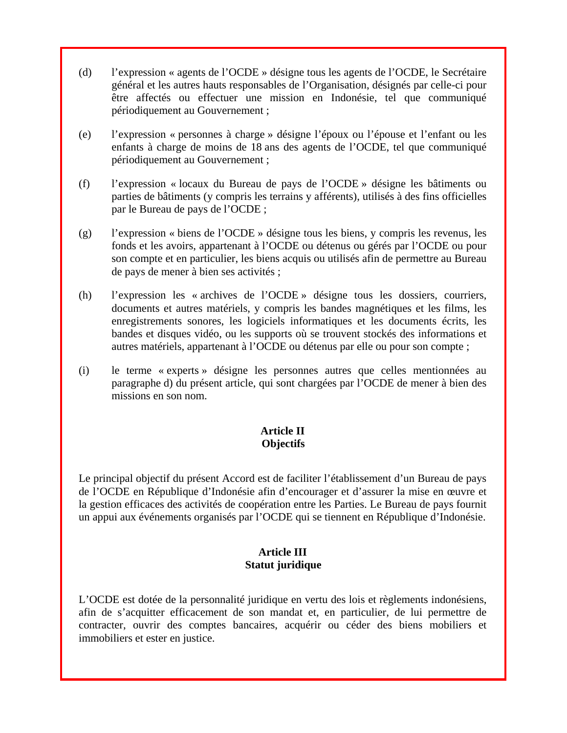- (d) l'expression « agents de l'OCDE » désigne tous les agents de l'OCDE, le Secrétaire général et les autres hauts responsables de l'Organisation, désignés par celle-ci pour être affectés ou effectuer une mission en Indonésie, tel que communiqué périodiquement au Gouvernement ;
- (e) l'expression « personnes à charge » désigne l'époux ou l'épouse et l'enfant ou les enfants à charge de moins de 18 ans des agents de l'OCDE, tel que communiqué périodiquement au Gouvernement ;
- (f) l'expression « locaux du Bureau de pays de l'OCDE » désigne les bâtiments ou parties de bâtiments (y compris les terrains y afférents), utilisés à des fins officielles par le Bureau de pays de l'OCDE ;
- (g) l'expression « biens de l'OCDE » désigne tous les biens, y compris les revenus, les fonds et les avoirs, appartenant à l'OCDE ou détenus ou gérés par l'OCDE ou pour son compte et en particulier, les biens acquis ou utilisés afin de permettre au Bureau de pays de mener à bien ses activités ;
- (h) l'expression les « archives de l'OCDE » désigne tous les dossiers, courriers, documents et autres matériels, y compris les bandes magnétiques et les films, les enregistrements sonores, les logiciels informatiques et les documents écrits, les bandes et disques vidéo, ou les supports où se trouvent stockés des informations et autres matériels, appartenant à l'OCDE ou détenus par elle ou pour son compte ;
- (i) le terme « experts » désigne les personnes autres que celles mentionnées au paragraphe d) du présent article, qui sont chargées par l'OCDE de mener à bien des missions en son nom.

# **Article II Objectifs**

Le principal objectif du présent Accord est de faciliter l'établissement d'un Bureau de pays de l'OCDE en République d'Indonésie afin d'encourager et d'assurer la mise en œuvre et la gestion efficaces des activités de coopération entre les Parties. Le Bureau de pays fournit un appui aux événements organisés par l'OCDE qui se tiennent en République d'Indonésie.

## **Article III Statut juridique**

L'OCDE est dotée de la personnalité juridique en vertu des lois et règlements indonésiens, afin de s'acquitter efficacement de son mandat et, en particulier, de lui permettre de contracter, ouvrir des comptes bancaires, acquérir ou céder des biens mobiliers et immobiliers et ester en justice.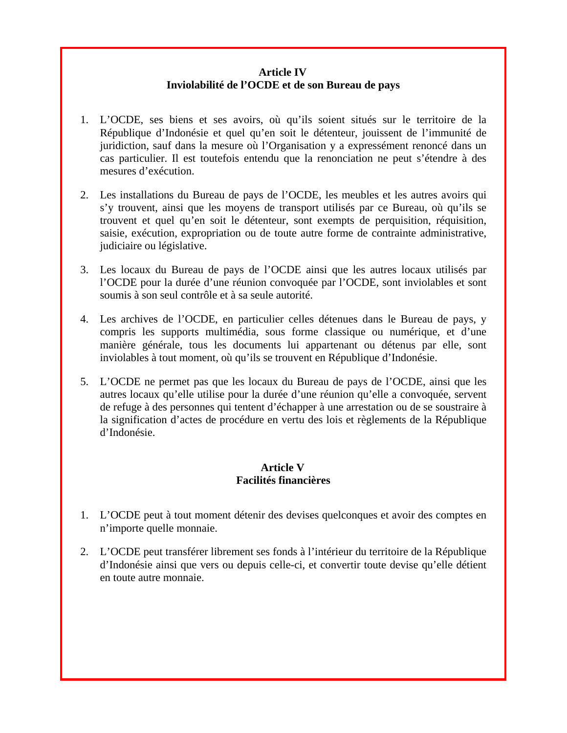## **Article IV Inviolabilité de l'OCDE et de son Bureau de pays**

- 1. L'OCDE, ses biens et ses avoirs, où qu'ils soient situés sur le territoire de la République d'Indonésie et quel qu'en soit le détenteur, jouissent de l'immunité de juridiction, sauf dans la mesure où l'Organisation y a expressément renoncé dans un cas particulier. Il est toutefois entendu que la renonciation ne peut s'étendre à des mesures d'exécution.
- 2. Les installations du Bureau de pays de l'OCDE, les meubles et les autres avoirs qui s'y trouvent, ainsi que les moyens de transport utilisés par ce Bureau, où qu'ils se trouvent et quel qu'en soit le détenteur, sont exempts de perquisition, réquisition, saisie, exécution, expropriation ou de toute autre forme de contrainte administrative, judiciaire ou législative.
- 3. Les locaux du Bureau de pays de l'OCDE ainsi que les autres locaux utilisés par l'OCDE pour la durée d'une réunion convoquée par l'OCDE, sont inviolables et sont soumis à son seul contrôle et à sa seule autorité.
- 4. Les archives de l'OCDE, en particulier celles détenues dans le Bureau de pays, y compris les supports multimédia, sous forme classique ou numérique, et d'une manière générale, tous les documents lui appartenant ou détenus par elle, sont inviolables à tout moment, où qu'ils se trouvent en République d'Indonésie.
- 5. L'OCDE ne permet pas que les locaux du Bureau de pays de l'OCDE, ainsi que les autres locaux qu'elle utilise pour la durée d'une réunion qu'elle a convoquée, servent de refuge à des personnes qui tentent d'échapper à une arrestation ou de se soustraire à la signification d'actes de procédure en vertu des lois et règlements de la République d'Indonésie.

## **Article V Facilités financières**

- 1. L'OCDE peut à tout moment détenir des devises quelconques et avoir des comptes en n'importe quelle monnaie.
- 2. L'OCDE peut transférer librement ses fonds à l'intérieur du territoire de la République d'Indonésie ainsi que vers ou depuis celle-ci, et convertir toute devise qu'elle détient en toute autre monnaie.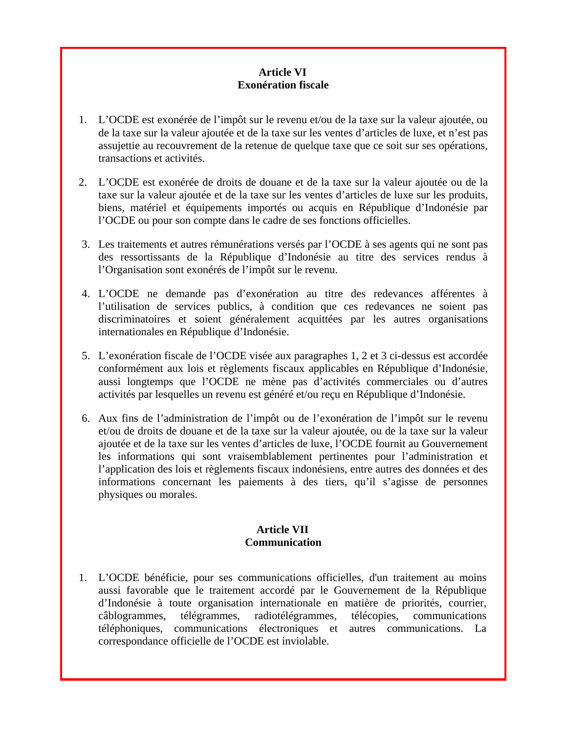## **Article VI Exonération fiscale**

- 1. L'OCDE est exonérée de l'impôt sur le revenu et/ou de la taxe sur la valeur ajoutée, ou de la taxe sur la valeur ajoutée et de la taxe sur les ventes d'articles de luxe, et n'est pas assujettie au recouvrement de la retenue de quelque taxe que ce soit sur ses opérations, transactions et activités.
- 2. L'OCDE est exonérée de droits de douane et de la taxe sur la valeur ajoutée ou de la taxe sur la valeur ajoutée et de la taxe sur les ventes d'articles de luxe sur les produits, biens, matériel et équipements importés ou acquis en République d'Indonésie par l'OCDE ou pour son compte dans le cadre de ses fonctions officielles.
- 3. Les traitements et autres rémunérations versés par l'OCDE à ses agents qui ne sont pas des ressortissants de la République d'Indonésie au titre des services rendus à l'Organisation sont exonérés de l'impôt sur le revenu.
- 4. L'OCDE ne demande pas d'exonération au titre des redevances afférentes à l'utilisation de services publics, à condition que ces redevances ne soient pas discriminatoires et soient généralement acquittées par les autres organisations internationales en République d'Indonésie.
- 5. L'exonération fiscale de l'OCDE visée aux paragraphes 1, 2 et 3 ci-dessus est accordée conformément aux lois et règlements fiscaux applicables en République d'Indonésie, aussi longtemps que l'OCDE ne mène pas d'activités commerciales ou d'autres activités par lesquelles un revenu est généré et/ou reçu en République d'Indonésie.
- 6. Aux fins de l'administration de l'impôt ou de l'exonération de l'impôt sur le revenu et/ou de droits de douane et de la taxe sur la valeur ajoutée, ou de la taxe sur la valeur ajoutée et de la taxe sur les ventes d'articles de luxe, l'OCDE fournit au Gouvernement les informations qui sont vraisemblablement pertinentes pour l'administration et l'application des lois et règlements fiscaux indonésiens, entre autres des données et des informations concernant les paiements à des tiers, qu'il s'agisse de personnes physiques ou morales.

## **Article VII Communication**

1. L'OCDE bénéficie, pour ses communications officielles, d'un traitement au moins aussi favorable que le traitement accordé par le Gouvernement de la République d'Indonésie à toute organisation internationale en matière de priorités, courrier, câblogrammes, télégrammes, radiotélégrammes, télécopies, communications téléphoniques, communications électroniques et autres communications. La correspondance officielle de l'OCDE est inviolable.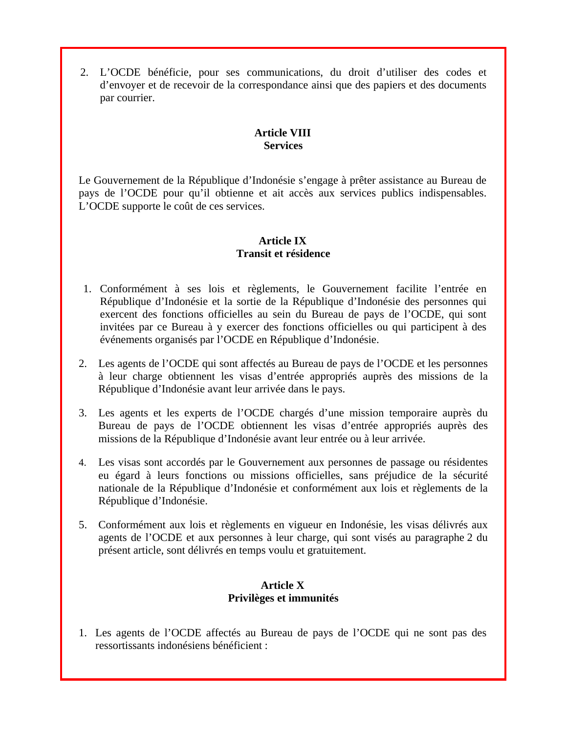2. L'OCDE bénéficie, pour ses communications, du droit d'utiliser des codes et d'envoyer et de recevoir de la correspondance ainsi que des papiers et des documents par courrier.

# **Article VIII Services**

Le Gouvernement de la République d'Indonésie s'engage à prêter assistance au Bureau de pays de l'OCDE pour qu'il obtienne et ait accès aux services publics indispensables. L'OCDE supporte le coût de ces services.

# **Article IX Transit et résidence**

- 1. Conformément à ses lois et règlements, le Gouvernement facilite l'entrée en République d'Indonésie et la sortie de la République d'Indonésie des personnes qui exercent des fonctions officielles au sein du Bureau de pays de l'OCDE, qui sont invitées par ce Bureau à y exercer des fonctions officielles ou qui participent à des événements organisés par l'OCDE en République d'Indonésie.
- 2. Les agents de l'OCDE qui sont affectés au Bureau de pays de l'OCDE et les personnes à leur charge obtiennent les visas d'entrée appropriés auprès des missions de la République d'Indonésie avant leur arrivée dans le pays.
- 3. Les agents et les experts de l'OCDE chargés d'une mission temporaire auprès du Bureau de pays de l'OCDE obtiennent les visas d'entrée appropriés auprès des missions de la République d'Indonésie avant leur entrée ou à leur arrivée.
- 4. Les visas sont accordés par le Gouvernement aux personnes de passage ou résidentes eu égard à leurs fonctions ou missions officielles, sans préjudice de la sécurité nationale de la République d'Indonésie et conformément aux lois et règlements de la République d'Indonésie.
- 5. Conformément aux lois et règlements en vigueur en Indonésie, les visas délivrés aux agents de l'OCDE et aux personnes à leur charge, qui sont visés au paragraphe 2 du présent article, sont délivrés en temps voulu et gratuitement.

## **Article X Privilèges et immunités**

1. Les agents de l'OCDE affectés au Bureau de pays de l'OCDE qui ne sont pas des ressortissants indonésiens bénéficient :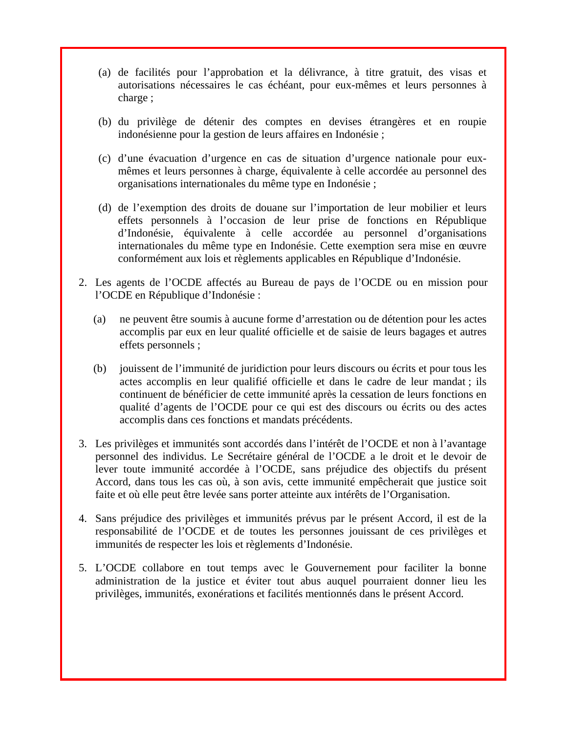- (a) de facilités pour l'approbation et la délivrance, à titre gratuit, des visas et autorisations nécessaires le cas échéant, pour eux-mêmes et leurs personnes à charge ;
- (b) du privilège de détenir des comptes en devises étrangères et en roupie indonésienne pour la gestion de leurs affaires en Indonésie ;
- (c) d'une évacuation d'urgence en cas de situation d'urgence nationale pour euxmêmes et leurs personnes à charge, équivalente à celle accordée au personnel des organisations internationales du même type en Indonésie ;
- (d) de l'exemption des droits de douane sur l'importation de leur mobilier et leurs effets personnels à l'occasion de leur prise de fonctions en République d'Indonésie, équivalente à celle accordée au personnel d'organisations internationales du même type en Indonésie. Cette exemption sera mise en œuvre conformément aux lois et règlements applicables en République d'Indonésie.
- 2. Les agents de l'OCDE affectés au Bureau de pays de l'OCDE ou en mission pour l'OCDE en République d'Indonésie :
	- (a) ne peuvent être soumis à aucune forme d'arrestation ou de détention pour les actes accomplis par eux en leur qualité officielle et de saisie de leurs bagages et autres effets personnels ;
	- (b) jouissent de l'immunité de juridiction pour leurs discours ou écrits et pour tous les actes accomplis en leur qualifié officielle et dans le cadre de leur mandat ; ils continuent de bénéficier de cette immunité après la cessation de leurs fonctions en qualité d'agents de l'OCDE pour ce qui est des discours ou écrits ou des actes accomplis dans ces fonctions et mandats précédents.
- 3. Les privilèges et immunités sont accordés dans l'intérêt de l'OCDE et non à l'avantage personnel des individus. Le Secrétaire général de l'OCDE a le droit et le devoir de lever toute immunité accordée à l'OCDE, sans préjudice des objectifs du présent Accord, dans tous les cas où, à son avis, cette immunité empêcherait que justice soit faite et où elle peut être levée sans porter atteinte aux intérêts de l'Organisation.
- 4. Sans préjudice des privilèges et immunités prévus par le présent Accord, il est de la responsabilité de l'OCDE et de toutes les personnes jouissant de ces privilèges et immunités de respecter les lois et règlements d'Indonésie.
- 5. L'OCDE collabore en tout temps avec le Gouvernement pour faciliter la bonne administration de la justice et éviter tout abus auquel pourraient donner lieu les privilèges, immunités, exonérations et facilités mentionnés dans le présent Accord.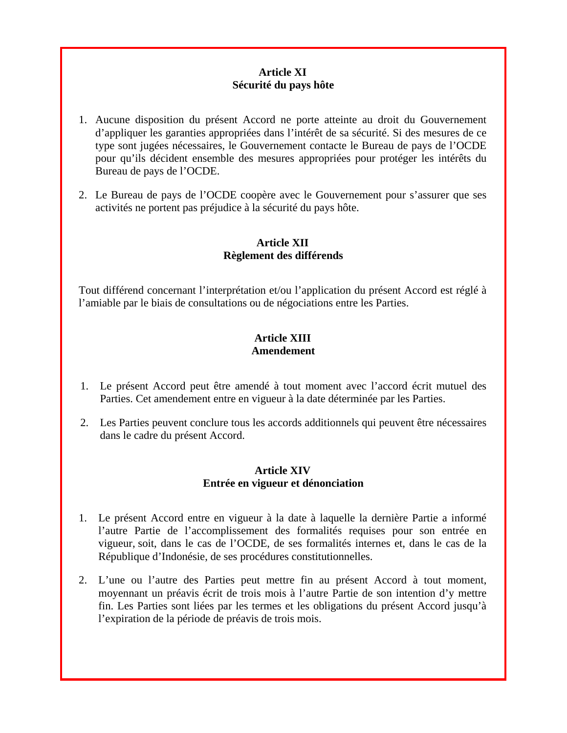## **Article XI Sécurité du pays hôte**

- 1. Aucune disposition du présent Accord ne porte atteinte au droit du Gouvernement d'appliquer les garanties appropriées dans l'intérêt de sa sécurité. Si des mesures de ce type sont jugées nécessaires, le Gouvernement contacte le Bureau de pays de l'OCDE pour qu'ils décident ensemble des mesures appropriées pour protéger les intérêts du Bureau de pays de l'OCDE.
- 2. Le Bureau de pays de l'OCDE coopère avec le Gouvernement pour s'assurer que ses activités ne portent pas préjudice à la sécurité du pays hôte.

## **Article XII Règlement des différends**

Tout différend concernant l'interprétation et/ou l'application du présent Accord est réglé à l'amiable par le biais de consultations ou de négociations entre les Parties.

## **Article XIII Amendement**

- 1. Le présent Accord peut être amendé à tout moment avec l'accord écrit mutuel des Parties. Cet amendement entre en vigueur à la date déterminée par les Parties.
- 2. Les Parties peuvent conclure tous les accords additionnels qui peuvent être nécessaires dans le cadre du présent Accord.

## **Article XIV Entrée en vigueur et dénonciation**

- 1. Le présent Accord entre en vigueur à la date à laquelle la dernière Partie a informé l'autre Partie de l'accomplissement des formalités requises pour son entrée en vigueur, soit, dans le cas de l'OCDE, de ses formalités internes et, dans le cas de la République d'Indonésie, de ses procédures constitutionnelles.
- 2. L'une ou l'autre des Parties peut mettre fin au présent Accord à tout moment, moyennant un préavis écrit de trois mois à l'autre Partie de son intention d'y mettre fin. Les Parties sont liées par les termes et les obligations du présent Accord jusqu'à l'expiration de la période de préavis de trois mois.